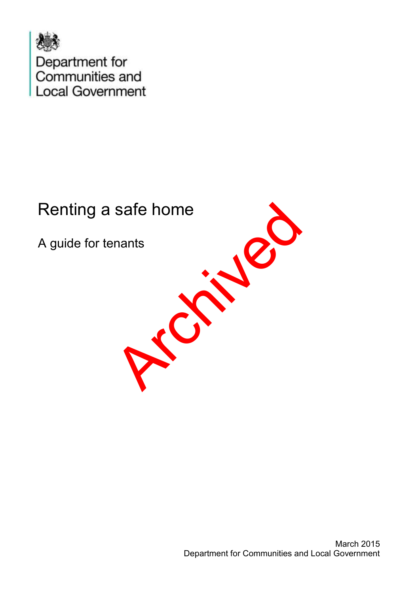

# Renting a safe home

A guide for tenants

**Principal**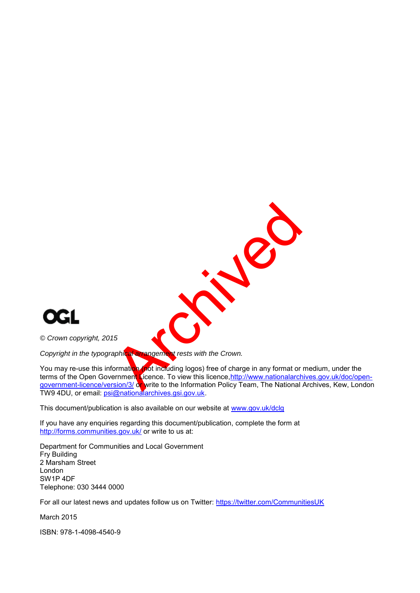

*© Crown copyright, 2015* 

*Copyright in the typographical arrangement rests with the Crown.* 

You may re-use this information (not including logos) free of charge in any format or medium, under the terms of the Open Government Licence. To view this licence, http://www.nationalarchives.gov.uk/doc/open[government-licence/version/3/](http://www.nationalarchives.gov.uk/doc/open-government-licence/version/3/) or write to the Information Policy Team, The National Archives, Kew, London TW9 4DU, or email: psi@nationalarchives.gsi.gov.uk.

R. P.

This document/publication is also available on our website at [www.gov.uk/dclg](http://www.gov.uk/dclg)

If you have any enquiries regarding this document/publication, complete the form at <http://forms.communities.gov.uk/>or write to us at:

Department for Communities and Local Government Fry Building 2 Marsham Street London SW1P 4DF Telephone: 030 3444 0000

For all our latest news and updates follow us on Twitter:<https://twitter.com/CommunitiesUK>

March 2015

ISBN: 978-1-4098-4540-9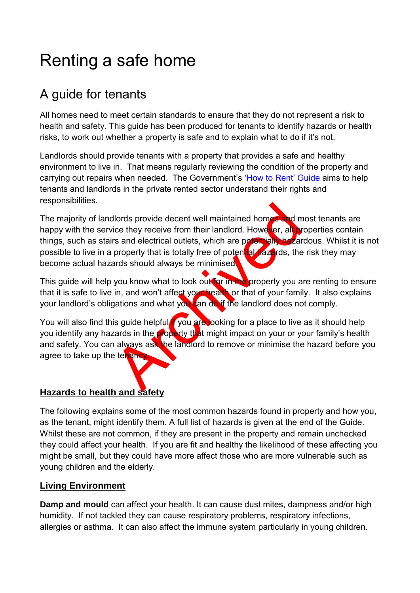# Renting a safe home

# A guide for tenants

All homes need to meet certain standards to ensure that they do not represent a risk to health and safety. This guide has been produced for tenants to identify hazards or health risks, to work out whether a property is safe and to explain what to do if it's not.

Landlords should provide tenants with a property that provides a safe and healthy environment to live in. That means regularly reviewing the condition of the property and carrying out repairs when needed. The Government's '[How to Rent](http://tinyurl.com/oyvlm78)' Guide aims to help tenants and landlords in the private rented sector understand their rights and responsibilities.

Archivese and the property that is totally free for the control of the property that is totally free of potential was been all the property you a in, and won't affect you have been all the property you a in, and won't affe The majority of landlords provide decent well maintained homes and most tenants are happy with the service they receive from their landlord. However, all properties contain things, such as stairs and electrical outlets, which are potentially hazardous. Whilst it is not possible to live in a property that is totally free of potential hazards, the risk they may become actual hazards should always be minimised.

This guide will help you know what to look out for in the property you are renting to ensure that it is safe to live in, and won't affect your health or that of your family. It also explains your landlord's obligations and what you can do if the landlord does not comply.

You will also find this guide helpful **if** you are looking for a place to live as it should help you identify any hazards in the property that might impact on your or your family's health and safety. You can always ask the landlord to remove or minimise the hazard before you agree to take up the tenancy.

## **Hazards to health and safety**

The following explains some of the most common hazards found in property and how you, as the tenant, might identify them. A full list of hazards is given at the end of the Guide. Whilst these are not common, if they are present in the property and remain unchecked they could affect your health. If you are fit and healthy the likelihood of these affecting you might be small, but they could have more affect those who are more vulnerable such as young children and the elderly.

#### **Living Environment**

**Damp and mould** can affect your health. It can cause dust mites, dampness and/or high humidity. If not tackled they can cause respiratory problems, respiratory infections, allergies or asthma. It can also affect the immune system particularly in young children.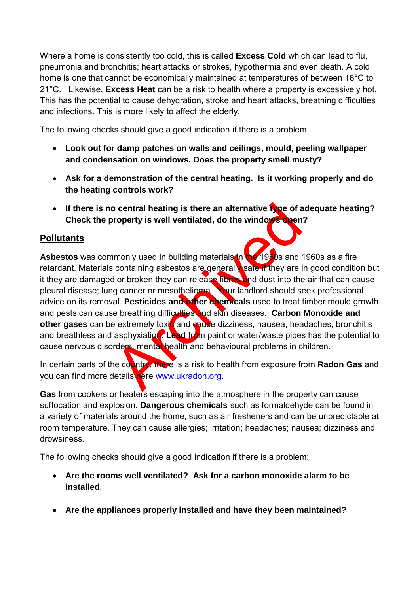Where a home is consistently too cold, this is called **Excess Cold** which can lead to flu, pneumonia and bronchitis; heart attacks or strokes, hypothermia and even death. A cold home is one that cannot be economically maintained at temperatures of between 18°C to 21°C. Likewise, **Excess Heat** can be a risk to health where a property is excessively hot. This has the potential to cause dehydration, stroke and heart attacks, breathing difficulties and infections. This is more likely to affect the elderly.

The following checks should give a good indication if there is a problem.

- **Look out for damp patches on walls and ceilings, mould, peeling wallpaper and condensation on windows. Does the property smell musty?**
- **Ask for a demonstration of the central heating. Is it working properly and do the heating controls work?**
- **If there is no central heating is there an alternative type of adequate heating? Check the property is well ventilated, do the windows open?**

#### **Pollutants**

o central heating is there an alternative type of a<br>property is well ventilated, do the windows open<br>monly used in building materials in containing asbestos are generally saite if they are it<br>do tho they can release fibres Asbestos was commonly used in building materials in the 1950s and 1960s as a fire retardant. Materials containing asbestos are generally safe if they are in good condition but it they are damaged or broken they can release fibres and dust into the air that can cause pleural disease; lung cancer or mesothelioma. Your landlord should seek professional advice on its removal. **Pesticides and other chemicals** used to treat timber mould growth and pests can cause breathing difficulties and skin diseases. **Carbon Monoxide and other gases** can be extremely toxic and cause dizziness, nausea, headaches, bronchitis and breathless and asphyxiation. Lead from paint or water/waste pipes has the potential to cause nervous disorders, mental health and behavioural problems in children.

In certain parts of the country, there is a risk to health from exposure from **Radon Gas** and you can find more details here www.ukradon.org.

Gas from cookers or heaters escaping into the atmosphere in the property can cause suffocation and explosion. **Dangerous chemicals** such as formaldehyde can be found in a variety of materials around the home, such as air fresheners and can be unpredictable at room temperature. They can cause allergies; irritation; headaches; nausea; dizziness and drowsiness.

The following checks should give a good indication if there is a problem:

- **Are the rooms well ventilated? Ask for a carbon monoxide alarm to be installed**.
- **Are the appliances properly installed and have they been maintained?**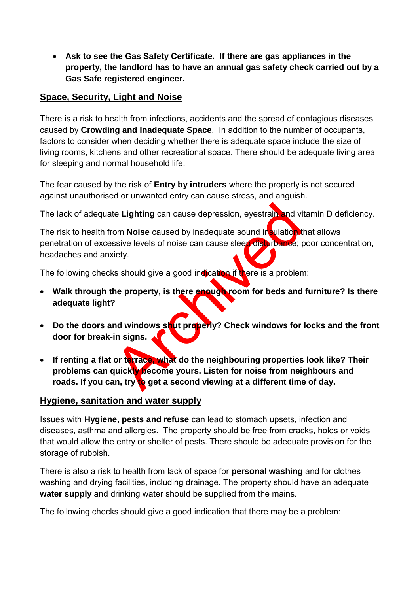**Ask to see the Gas Safety Certificate. If there are gas appliances in the property, the landlord has to have an annual gas safety check carried out by a Gas Safe registered engineer.** 

#### **Space, Security, Light and Noise**

There is a risk to health from infections, accidents and the spread of contagious diseases caused by **Crowding and Inadequate Space**. In addition to the number of occupants, factors to consider when deciding whether there is adequate space include the size of living rooms, kitchens and other recreational space. There should be adequate living area for sleeping and normal household life.

The fear caused by the risk of **Entry by intruders** where the property is not secured against unauthorised or unwanted entry can cause stress, and anguish.

The lack of adequate **Lighting** can cause depression, eyestrain and vitamin D deficiency.

The risk to health from **Noise** caused by inadequate sound insulation that allows penetration of excessive levels of noise can cause sleep disturbance; poor concentration, headaches and anxiety.

The following checks should give a good indication if there is a problem:

- **Walk through the property, is there enough room for beds and furniture? Is there adequate light?**
- **Do the doors and windows shut properly? Check windows for locks and the front door for break-in signs.**
- te Lighting can cause depression, eyestrain, and vi<br>
om Noise caused by inadequate sound in sulation is<br>
sive levels of noise can cause sleep disturbance;<br>
tiety.<br>
six should give a good indication if<br>
there is a problem<br> **If renting a flat or terrace, what do the neighbouring properties look like? Their problems can quickly become yours. Listen for noise from neighbours and**  roads. If you can, try to get a second viewing at a different time of day.

#### **Hygiene, sanitation and water supply**

Issues with **Hygiene, pests and refuse** can lead to stomach upsets, infection and diseases, asthma and allergies. The property should be free from cracks, holes or voids that would allow the entry or shelter of pests. There should be adequate provision for the storage of rubbish.

There is also a risk to health from lack of space for **personal washing** and for clothes washing and drying facilities, including drainage. The property should have an adequate **water supply** and drinking water should be supplied from the mains.

The following checks should give a good indication that there may be a problem: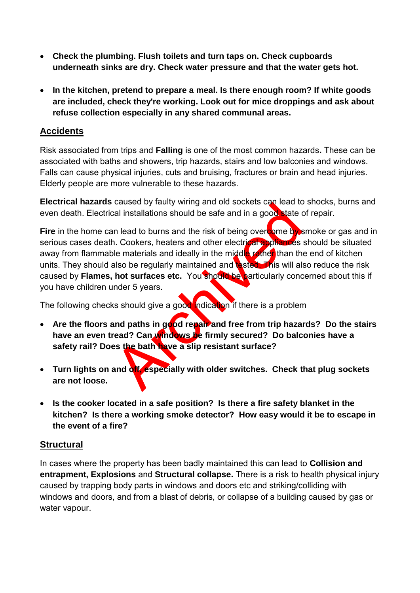- **Check the plumbing. Flush toilets and turn taps on. Check cupboards underneath sinks are dry. Check water pressure and that the water gets hot.**
- **In the kitchen, pretend to prepare a meal. Is there enough room? If white goods are included, check they're working. Look out for mice droppings and ask about refuse collection especially in any shared communal areas.**

#### **Accidents**

Risk associated from trips and **Falling** is one of the most common hazards**.** These can be associated with baths and showers, trip hazards, stairs and low balconies and windows. Falls can cause physical injuries, cuts and bruising, fractures or brain and head injuries. Elderly people are more vulnerable to these hazards.

**Electrical hazards** caused by faulty wiring and old sockets can lead to shocks, burns and even death. Electrical installations should be safe and in a good state of repair.

cal installations should be safe and in a good state of the contract of the safe and in a good state of the metericial should be safe and other electrical sphericals of the materials and ideally in the middle radio than th **Fire** in the home can lead to burns and the risk of being overcome by smoke or gas and in serious cases death. Cookers, heaters and other electrical appliances should be situated away from flammable materials and ideally in the middle rather than the end of kitchen units. They should also be regularly maintained and tested. This will also reduce the risk caused by **Flames, hot surfaces etc.** You should be particularly concerned about this if you have children under 5 years.

The following checks should give a good indication if there is a problem

- Are the floors and paths in good repair and free from trip hazards? Do the stairs **have an even tread? Can windows be firmly secured? Do balconies have a safety rail? Does the bath have a slip resistant surface?**
- **Turn lights on and off, especially with older switches. Check that plug sockets are not loose.**
- **Is the cooker located in a safe position? Is there a fire safety blanket in the kitchen? Is there a working smoke detector? How easy would it be to escape in the event of a fire?**

#### **Structural**

In cases where the property has been badly maintained this can lead to **Collision and entrapment, Explosions** and **Structural collapse.** There is a risk to health physical injury caused by trapping body parts in windows and doors etc and striking/colliding with windows and doors, and from a blast of debris, or collapse of a building caused by gas or water vapour.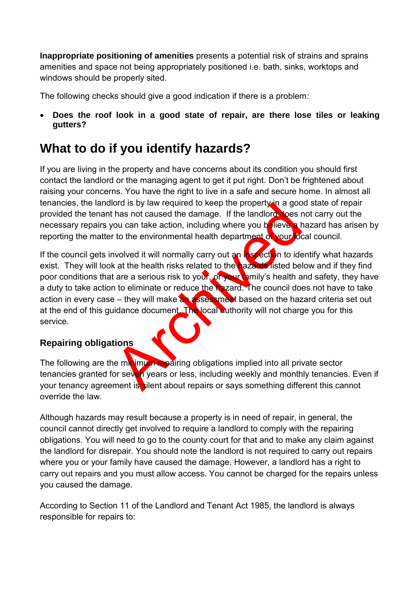**Inappropriate positioning of amenities** presents a potential risk of strains and sprains amenities and space not being appropriately positioned i.e. bath, sinks, worktops and windows should be properly sited.

The following checks should give a good indication if there is a problem:

 **Does the roof look in a good state of repair, are there lose tiles or leaking gutters?** 

## **What to do if you identify hazards?**

If you are living in the property and have concerns about its condition you should first contact the landlord or the managing agent to get it put right. Don't be frightened about raising your concerns. You have the right to live in a safe and secure home. In almost all tenancies, the landlord is by law required to keep the property in a good state of repair provided the tenant has not caused the damage. If the landlord does not carry out the necessary repairs you can take action, including where you believe a hazard has arisen by reporting the matter to the environmental health department of your local council.

ord is by law required to keep the property in a good has not caused the damage. If the landlord does r<br>from can take action, including where you believe a trouble in to the environmental health department of your or<br>hydyd If the council gets involved it will normally carry out an inspection to identify what hazards exist. They will look at the health risks related to the hazards listed below and if they find poor conditions that are a serious risk to your, or your family's health and safety, they have a duty to take action to eliminate or reduce the hazard. The council does not have to take action in every case – they will make an assessment based on the hazard criteria set out at the end of this guidance document. The local authority will not charge you for this service.

### **Repairing obligations**

The following are the minimum repairing obligations implied into all private sector tenancies granted for seven years or less, including weekly and monthly tenancies. Even if your tenancy agreement is silent about repairs or says something different this cannot override the law.

Although hazards may result because a property is in need of repair, in general, the council cannot directly get involved to require a landlord to comply with the repairing obligations. You will need to go to the county court for that and to make any claim against the landlord for disrepair. You should note the landlord is not required to carry out repairs where you or your family have caused the damage. However, a landlord has a right to carry out repairs and you must allow access. You cannot be charged for the repairs unless you caused the damage.

According to Section 11 of the Landlord and Tenant Act 1985, the landlord is always responsible for repairs to: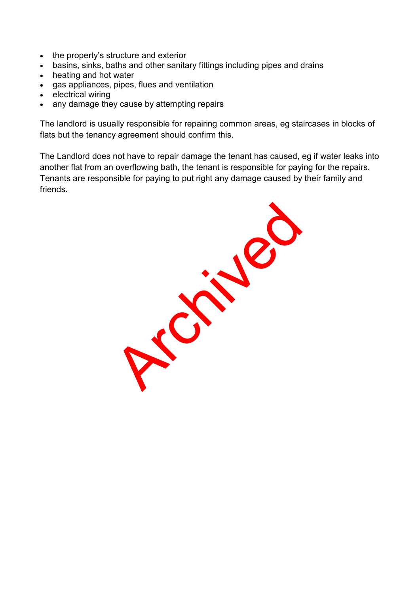- the property's structure and exterior
- basins, sinks, baths and other sanitary fittings including pipes and drains
- heating and hot water
- gas appliances, pipes, flues and ventilation
- electrical wiring
- any damage they cause by attempting repairs

The landlord is usually responsible for repairing common areas, eg staircases in blocks of flats but the tenancy agreement should confirm this.

The Landlord does not have to repair damage the tenant has caused, eg if water leaks into another flat from an overflowing bath, the tenant is responsible for paying for the repairs. Tenants are responsible for paying to put right any damage caused by their family and friends.